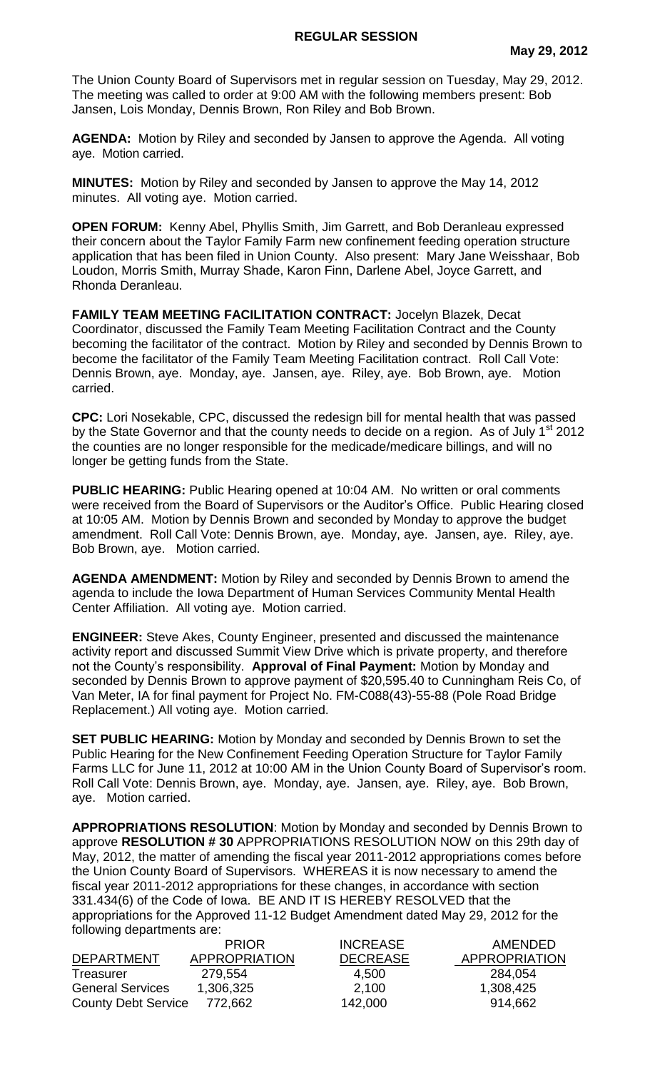The Union County Board of Supervisors met in regular session on Tuesday, May 29, 2012. The meeting was called to order at 9:00 AM with the following members present: Bob Jansen, Lois Monday, Dennis Brown, Ron Riley and Bob Brown.

**AGENDA:** Motion by Riley and seconded by Jansen to approve the Agenda. All voting aye. Motion carried.

**MINUTES:** Motion by Riley and seconded by Jansen to approve the May 14, 2012 minutes. All voting aye. Motion carried.

**OPEN FORUM:** Kenny Abel, Phyllis Smith, Jim Garrett, and Bob Deranleau expressed their concern about the Taylor Family Farm new confinement feeding operation structure application that has been filed in Union County. Also present: Mary Jane Weisshaar, Bob Loudon, Morris Smith, Murray Shade, Karon Finn, Darlene Abel, Joyce Garrett, and Rhonda Deranleau.

**FAMILY TEAM MEETING FACILITATION CONTRACT:** Jocelyn Blazek, Decat Coordinator, discussed the Family Team Meeting Facilitation Contract and the County becoming the facilitator of the contract. Motion by Riley and seconded by Dennis Brown to become the facilitator of the Family Team Meeting Facilitation contract. Roll Call Vote: Dennis Brown, aye. Monday, aye. Jansen, aye. Riley, aye. Bob Brown, aye. Motion carried.

**CPC:** Lori Nosekable, CPC, discussed the redesign bill for mental health that was passed by the State Governor and that the county needs to decide on a region. As of July 1<sup>st</sup> 2012 the counties are no longer responsible for the medicade/medicare billings, and will no longer be getting funds from the State.

**PUBLIC HEARING:** Public Hearing opened at 10:04 AM. No written or oral comments were received from the Board of Supervisors or the Auditor's Office. Public Hearing closed at 10:05 AM. Motion by Dennis Brown and seconded by Monday to approve the budget amendment. Roll Call Vote: Dennis Brown, aye. Monday, aye. Jansen, aye. Riley, aye. Bob Brown, aye. Motion carried.

**AGENDA AMENDMENT:** Motion by Riley and seconded by Dennis Brown to amend the agenda to include the Iowa Department of Human Services Community Mental Health Center Affiliation. All voting aye. Motion carried.

**ENGINEER:** Steve Akes, County Engineer, presented and discussed the maintenance activity report and discussed Summit View Drive which is private property, and therefore not the County's responsibility. **Approval of Final Payment:** Motion by Monday and seconded by Dennis Brown to approve payment of \$20,595.40 to Cunningham Reis Co, of Van Meter, IA for final payment for Project No. FM-C088(43)-55-88 (Pole Road Bridge Replacement.) All voting aye. Motion carried.

**SET PUBLIC HEARING:** Motion by Monday and seconded by Dennis Brown to set the Public Hearing for the New Confinement Feeding Operation Structure for Taylor Family Farms LLC for June 11, 2012 at 10:00 AM in the Union County Board of Supervisor's room. Roll Call Vote: Dennis Brown, aye. Monday, aye. Jansen, aye. Riley, aye. Bob Brown, aye. Motion carried.

**APPROPRIATIONS RESOLUTION**: Motion by Monday and seconded by Dennis Brown to approve **RESOLUTION # 30** APPROPRIATIONS RESOLUTION NOW on this 29th day of May, 2012, the matter of amending the fiscal year 2011-2012 appropriations comes before the Union County Board of Supervisors. WHEREAS it is now necessary to amend the fiscal year 2011-2012 appropriations for these changes, in accordance with section 331.434(6) of the Code of Iowa. BE AND IT IS HEREBY RESOLVED that the appropriations for the Approved 11-12 Budget Amendment dated May 29, 2012 for the following departments are:

|                            | <b>PRIOR</b>         | <b>INCREASE</b> | AMENDED              |
|----------------------------|----------------------|-----------------|----------------------|
| <b>DEPARTMENT</b>          | <b>APPROPRIATION</b> | <b>DECREASE</b> | <b>APPROPRIATION</b> |
| Treasurer                  | 279.554              | 4,500           | 284,054              |
| <b>General Services</b>    | 1,306,325            | 2,100           | 1,308,425            |
| <b>County Debt Service</b> | 772,662              | 142,000         | 914,662              |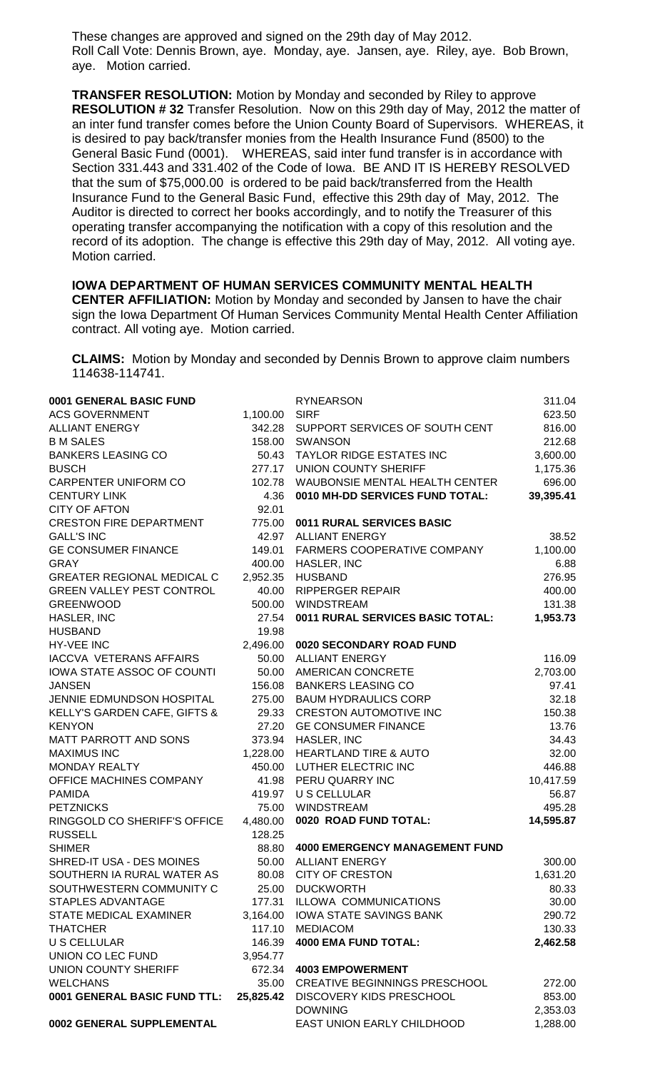These changes are approved and signed on the 29th day of May 2012. Roll Call Vote: Dennis Brown, aye. Monday, aye. Jansen, aye. Riley, aye. Bob Brown, aye. Motion carried.

**TRANSFER RESOLUTION:** Motion by Monday and seconded by Riley to approve **RESOLUTION # 32** Transfer Resolution. Now on this 29th day of May, 2012 the matter of an inter fund transfer comes before the Union County Board of Supervisors. WHEREAS, it is desired to pay back/transfer monies from the Health Insurance Fund (8500) to the General Basic Fund (0001). WHEREAS, said inter fund transfer is in accordance with Section 331.443 and 331.402 of the Code of Iowa. BE AND IT IS HEREBY RESOLVED that the sum of \$75,000.00 is ordered to be paid back/transferred from the Health Insurance Fund to the General Basic Fund, effective this 29th day of May, 2012. The Auditor is directed to correct her books accordingly, and to notify the Treasurer of this operating transfer accompanying the notification with a copy of this resolution and the record of its adoption. The change is effective this 29th day of May, 2012. All voting aye. Motion carried.

**IOWA DEPARTMENT OF HUMAN SERVICES COMMUNITY MENTAL HEALTH CENTER AFFILIATION:** Motion by Monday and seconded by Jansen to have the chair sign the Iowa Department Of Human Services Community Mental Health Center Affiliation contract. All voting aye. Motion carried.

**CLAIMS:** Motion by Monday and seconded by Dennis Brown to approve claim numbers 114638-114741.

| 0001 GENERAL BASIC FUND           |           | <b>RYNEARSON</b>                      | 311.04    |
|-----------------------------------|-----------|---------------------------------------|-----------|
| <b>ACS GOVERNMENT</b>             | 1,100.00  | <b>SIRF</b>                           | 623.50    |
| <b>ALLIANT ENERGY</b>             | 342.28    | SUPPORT SERVICES OF SOUTH CENT        | 816.00    |
| <b>B M SALES</b>                  | 158.00    | <b>SWANSON</b>                        | 212.68    |
| <b>BANKERS LEASING CO</b>         |           | 50.43 TAYLOR RIDGE ESTATES INC        | 3,600.00  |
| <b>BUSCH</b>                      | 277.17    | <b>UNION COUNTY SHERIFF</b>           | 1,175.36  |
| CARPENTER UNIFORM CO              | 102.78    | WAUBONSIE MENTAL HEALTH CENTER        | 696.00    |
| <b>CENTURY LINK</b>               | 4.36      | 0010 MH-DD SERVICES FUND TOTAL:       | 39,395.41 |
| <b>CITY OF AFTON</b>              | 92.01     |                                       |           |
| <b>CRESTON FIRE DEPARTMENT</b>    | 775.00    | 0011 RURAL SERVICES BASIC             |           |
| <b>GALL'S INC</b>                 | 42.97     | <b>ALLIANT ENERGY</b>                 | 38.52     |
| <b>GE CONSUMER FINANCE</b>        | 149.01    | FARMERS COOPERATIVE COMPANY           | 1,100.00  |
| <b>GRAY</b>                       | 400.00    | HASLER, INC                           | 6.88      |
| <b>GREATER REGIONAL MEDICAL C</b> | 2,952.35  | <b>HUSBAND</b>                        | 276.95    |
| <b>GREEN VALLEY PEST CONTROL</b>  | 40.00     | <b>RIPPERGER REPAIR</b>               | 400.00    |
| <b>GREENWOOD</b>                  | 500.00    | <b>WINDSTREAM</b>                     | 131.38    |
| HASLER, INC                       | 27.54     | 0011 RURAL SERVICES BASIC TOTAL:      | 1,953.73  |
| <b>HUSBAND</b>                    | 19.98     |                                       |           |
| <b>HY-VEE INC</b>                 | 2,496.00  | 0020 SECONDARY ROAD FUND              |           |
| <b>IACCVA VETERANS AFFAIRS</b>    | 50.00     | <b>ALLIANT ENERGY</b>                 | 116.09    |
| IOWA STATE ASSOC OF COUNTI        | 50.00     | AMERICAN CONCRETE                     | 2,703.00  |
| <b>JANSEN</b>                     | 156.08    | <b>BANKERS LEASING CO</b>             | 97.41     |
| JENNIE EDMUNDSON HOSPITAL         | 275.00    | <b>BAUM HYDRAULICS CORP</b>           | 32.18     |
| KELLY'S GARDEN CAFE, GIFTS &      | 29.33     | <b>CRESTON AUTOMOTIVE INC</b>         | 150.38    |
| <b>KENYON</b>                     | 27.20     | <b>GE CONSUMER FINANCE</b>            | 13.76     |
| MATT PARROTT AND SONS             | 373.94    | HASLER, INC                           | 34.43     |
| <b>MAXIMUS INC</b>                | 1,228.00  | <b>HEARTLAND TIRE &amp; AUTO</b>      | 32.00     |
| <b>MONDAY REALTY</b>              | 450.00    | LUTHER ELECTRIC INC                   | 446.88    |
| OFFICE MACHINES COMPANY           |           | 41.98 PERU QUARRY INC                 | 10,417.59 |
| <b>PAMIDA</b>                     |           | 419.97 U S CELLULAR                   | 56.87     |
| <b>PETZNICKS</b>                  |           | 75.00 WINDSTREAM                      | 495.28    |
| RINGGOLD CO SHERIFF'S OFFICE      | 4,480.00  | 0020 ROAD FUND TOTAL:                 | 14,595.87 |
| <b>RUSSELL</b>                    | 128.25    |                                       |           |
| <b>SHIMER</b>                     | 88.80     | <b>4000 EMERGENCY MANAGEMENT FUND</b> |           |
| SHRED-IT USA - DES MOINES         | 50.00     | <b>ALLIANT ENERGY</b>                 | 300.00    |
| SOUTHERN IA RURAL WATER AS        | 80.08     | <b>CITY OF CRESTON</b>                | 1,631.20  |
| SOUTHWESTERN COMMUNITY C          | 25.00     | <b>DUCKWORTH</b>                      | 80.33     |
| <b>STAPLES ADVANTAGE</b>          | 177.31    | <b>ILLOWA COMMUNICATIONS</b>          | 30.00     |
| STATE MEDICAL EXAMINER            | 3,164.00  | <b>IOWA STATE SAVINGS BANK</b>        | 290.72    |
| <b>THATCHER</b>                   | 117.10    | <b>MEDIACOM</b>                       | 130.33    |
| <b>U S CELLULAR</b>               | 146.39    | <b>4000 EMA FUND TOTAL:</b>           | 2,462.58  |
| UNION CO LEC FUND                 | 3,954.77  |                                       |           |
| <b>UNION COUNTY SHERIFF</b>       | 672.34    | <b>4003 EMPOWERMENT</b>               |           |
| <b>WELCHANS</b>                   | 35.00     | CREATIVE BEGINNINGS PRESCHOOL         | 272.00    |
| 0001 GENERAL BASIC FUND TTL:      | 25,825.42 | DISCOVERY KIDS PRESCHOOL              | 853.00    |
|                                   |           | <b>DOWNING</b>                        | 2,353.03  |
| 0002 GENERAL SUPPLEMENTAL         |           | EAST UNION EARLY CHILDHOOD            | 1,288.00  |